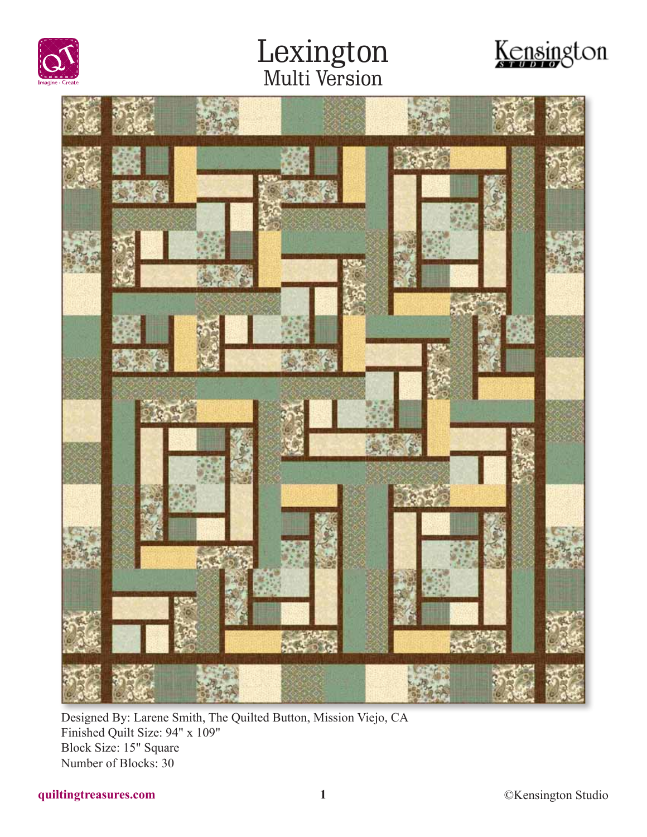





Designed By: Larene Smith, The Quilted Button, Mission Viejo, CA Finished Quilt Size: 94" x 109" Block Size: 15" Square Number of Blocks: 30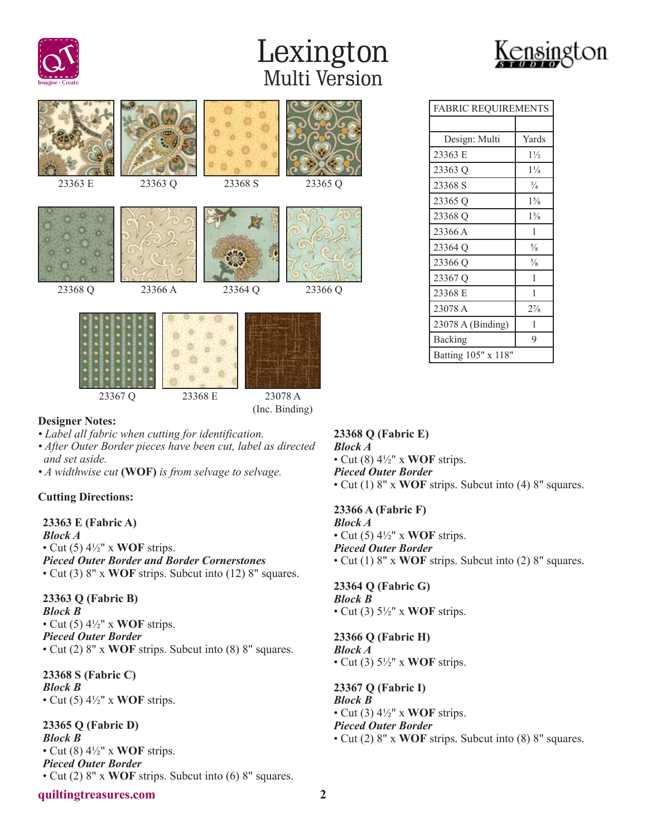



FABRIC REQUIREMENTS

Design: Multi | Yards 23363 E 1½ 23363 Q 1¼ 23368 S  $\frac{3}{4}$ 23365 Q 1<sup>5</sup>/<sub>8</sub> 23368 Q 1<sup>3</sup>/<sub>8</sub> 23366 A 1 23364 Q  $\frac{5}{8}$ 23366 Q  $\frac{5}{8}$ 23367 Q 1 23368 E 1 23078 A 2<sup>7</sup>/<sub>8</sub> 23078 A (Binding) 1 Backing 9 Batting 105" x 118"

| 23363 E                                         | 23363 Q | 23368 S | 23365 Q |  |  |  |
|-------------------------------------------------|---------|---------|---------|--|--|--|
| 23368 Q                                         | 23366 A | 23364 Q | 23366 Q |  |  |  |
| 23367 Q<br>23368 E<br>23078 A<br>(Inc. Binding) |         |         |         |  |  |  |

#### **Designer Notes:**

- *Label all fabric when cutting for identification.*
- *After Outer Border pieces have been cut, label as directed and set aside.*
- *A widthwise cut* **(WOF)** *is from selvage to selvage.*

#### **Cutting Directions:**

**23363 E (Fabric A)** *Block A* • Cut (5) 4½" x **WOF** strips. *Pieced Outer Border and Border Cornerstones* • Cut (3) 8" x **WOF** strips. Subcut into (12) 8" squares.

**23363 Q (Fabric B)** *Block B* • Cut (5) 4½" x **WOF** strips. *Pieced Outer Border* • Cut (2) 8" x **WOF** strips. Subcut into (8) 8" squares.

**23368 S (Fabric C)** *Block B* • Cut (5) 4½" x **WOF** strips.

**23365 Q (Fabric D)** *Block B* • Cut (8) 4½" x **WOF** strips. *Pieced Outer Border* • Cut (2) 8" x **WOF** strips. Subcut into (6) 8" squares.

### **23368 Q (Fabric E)** *Block A* • Cut (8) 4½" x **WOF** strips. *Pieced Outer Border*

• Cut (1) 8" x **WOF** strips. Subcut into (4) 8" squares.

**23366 A (Fabric F)**

*Block A* • Cut (5) 4½" x **WOF** strips. *Pieced Outer Border* • Cut (1) 8" x **WOF** strips. Subcut into (2) 8" squares.

**23364 Q (Fabric G)** *Block B* • Cut (3) 5½" x **WOF** strips.

**23366 Q (Fabric H)** *Block A* • Cut (3) 5½" x **WOF** strips.

**23367 Q (Fabric I)** *Block B* • Cut (3) 4½" x **WOF** strips. *Pieced Outer Border* • Cut (2) 8" x **WOF** strips. Subcut into (8) 8" squares.

#### **quiltingtreasures.com 2**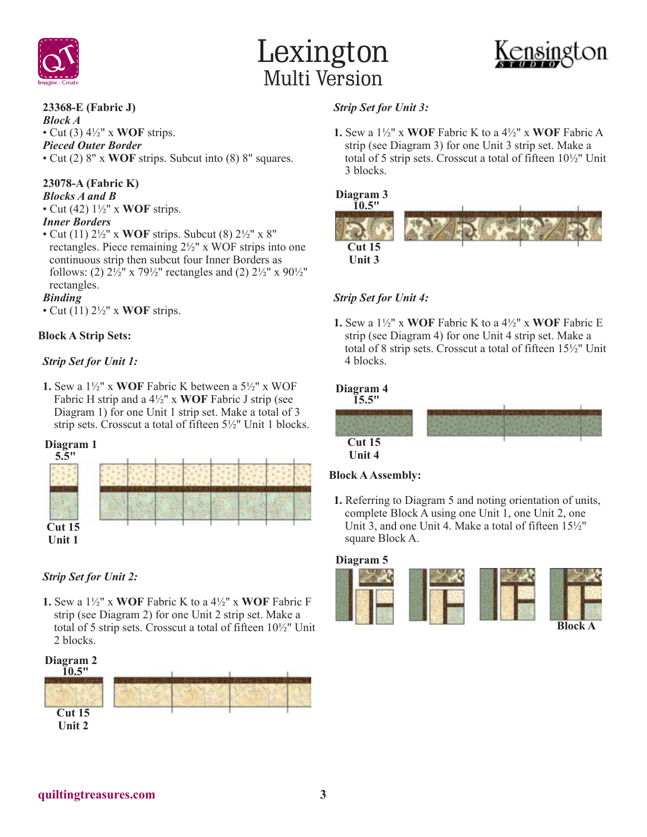



#### **23368-E (Fabric J)**

*Block A* • Cut (3) 4½" x **WOF** strips. *Pieced Outer Border* • Cut (2) 8" x **WOF** strips. Subcut into (8) 8" squares.

**23078-A (Fabric K)** *Blocks A and B* • Cut (42) 1½" x **WOF** strips.

#### *Inner Borders*

• Cut (11) 2½" x **WOF** strips. Subcut (8) 2½" x 8" rectangles. Piece remaining 2½" x WOF strips into one continuous strip then subcut four Inner Borders as follows: (2)  $2\frac{1}{2}$ " x  $79\frac{1}{2}$ " rectangles and (2)  $2\frac{1}{2}$ " x  $90\frac{1}{2}$ " rectangles.

#### *Binding*

• Cut (11) 2½" x **WOF** strips.

#### **Block A Strip Sets:**

#### *Strip Set for Unit 1:*

**1.** Sew a 1½" x **WOF** Fabric K between a 5½" x WOF Fabric H strip and a 4½" x **WOF** Fabric J strip (see Diagram 1) for one Unit 1 strip set. Make a total of 3 strip sets. Crosscut a total of fifteen 5½" Unit 1 blocks.

#### **Diagram 1**



#### *Strip Set for Unit 2:*

**1.** Sew a 1½" x **WOF** Fabric K to a 4½" x **WOF** Fabric F strip (see Diagram 2) for one Unit 2 strip set. Make a total of 5 strip sets. Crosscut a total of fifteen 10½" Unit 2 blocks.



#### *Strip Set for Unit 3:*

**1.** Sew a 1½" x **WOF** Fabric K to a 4½" x **WOF** Fabric A strip (see Diagram 3) for one Unit 3 strip set. Make a total of 5 strip sets. Crosscut a total of fifteen 10½" Unit 3 blocks.

#### **Diagram 3**



#### *Strip Set for Unit 4:*

**1.** Sew a 1½" x **WOF** Fabric K to a 4½" x **WOF** Fabric E strip (see Diagram 4) for one Unit 4 strip set. Make a total of 8 strip sets. Crosscut a total of fifteen 15½" Unit 4 blocks.

#### **Diagram 4**



#### **Block A Assembly:**

**1.** Referring to Diagram 5 and noting orientation of units, complete Block A using one Unit 1, one Unit 2, one Unit 3, and one Unit 4. Make a total of fifteen 15½" square Block A.

#### **Diagram 5**

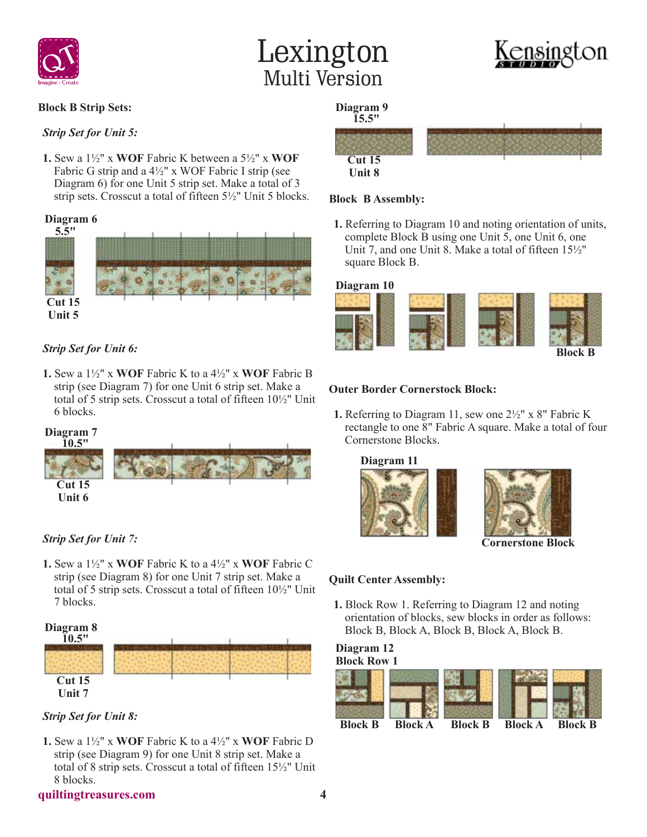



#### **Block B Strip Sets:**

#### *Strip Set for Unit 5:*

**1.** Sew a 1½" x **WOF** Fabric K between a 5½" x **WOF** Fabric G strip and a  $4\frac{1}{2}$ " x WOF Fabric I strip (see Diagram 6) for one Unit 5 strip set. Make a total of 3 strip sets. Crosscut a total of fifteen 5½" Unit 5 blocks.

#### **Diagram 6**



#### *Strip Set for Unit 6:*

**1.** Sew a 1½" x **WOF** Fabric K to a 4½" x **WOF** Fabric B strip (see Diagram 7) for one Unit 6 strip set. Make a total of 5 strip sets. Crosscut a total of fifteen 10½" Unit 6 blocks.

### **Cut 15 Diagram 7 10.5"**



#### *Strip Set for Unit 7:*

**Unit 6**

**1.** Sew a 1½" x **WOF** Fabric K to a 4½" x **WOF** Fabric C strip (see Diagram 8) for one Unit 7 strip set. Make a total of 5 strip sets. Crosscut a total of fifteen 10½" Unit 7 blocks.



*Strip Set for Unit 8:*

**1.** Sew a 1½" x **WOF** Fabric K to a 4½" x **WOF** Fabric D strip (see Diagram 9) for one Unit 8 strip set. Make a total of 8 strip sets. Crosscut a total of fifteen 15½" Unit 8 blocks.



**Block B Assembly:**

**Cut 15 Unit 8**

**Diagram 9 15.5"**



**Block B**

#### **Outer Border Cornerstock Block:**

**1.** Referring to Diagram 11, sew one 2½" x 8" Fabric K rectangle to one 8" Fabric A square. Make a total of four Cornerstone Blocks.

**1.** Referring to Diagram 10 and noting orientation of units, complete Block B using one Unit 5, one Unit 6, one Unit 7, and one Unit 8. Make a total of fifteen 15½"





**Cornerstone Block**

#### **Quilt Center Assembly:**

**1.** Block Row 1. Referring to Diagram 12 and noting orientation of blocks, sew blocks in order as follows: Block B, Block A, Block B, Block A, Block B.

#### **Block Row 1 Diagram 12**



**quiltingtreasures.com 4**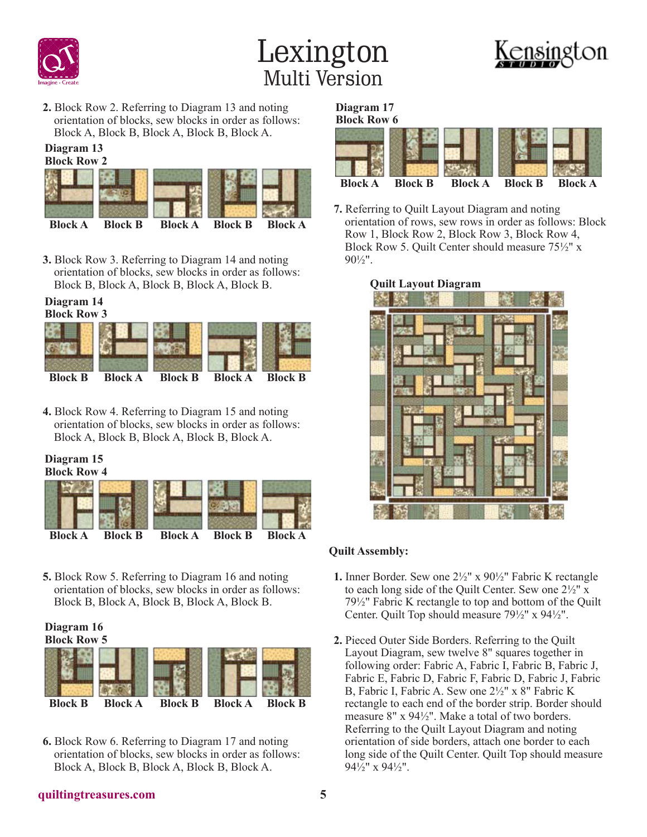





**2.** Block Row 2. Referring to Diagram 13 and noting orientation of blocks, sew blocks in order as follows: Block A, Block B, Block A, Block B, Block A.

#### **Block Row 2 Diagram 13**

| <b>Block A</b> | <b>Block B</b> | <b>Block A</b> | <b>Block B</b> | <b>Block A</b> |
|----------------|----------------|----------------|----------------|----------------|

**3.** Block Row 3. Referring to Diagram 14 and noting orientation of blocks, sew blocks in order as follows: Block B, Block A, Block B, Block A, Block B.

#### **Block Row 3 Diagram 14**



**4.** Block Row 4. Referring to Diagram 15 and noting orientation of blocks, sew blocks in order as follows: Block A, Block B, Block A, Block B, Block A.

#### **Block Row 4 Diagram 15**



**5.** Block Row 5. Referring to Diagram 16 and noting orientation of blocks, sew blocks in order as follows: Block B, Block A, Block B, Block A, Block B.

### **Diagram 16**



**6.** Block Row 6. Referring to Diagram 17 and noting orientation of blocks, sew blocks in order as follows: Block A, Block B, Block A, Block B, Block A.

### **Diagram 17**



**7.** Referring to Quilt Layout Diagram and noting orientation of rows, sew rows in order as follows: Block Row 1, Block Row 2, Block Row 3, Block Row 4, Block Row 5. Quilt Center should measure 75½" x  $90\frac{1}{2}$ ".

#### **Quilt Layout Diagram**



#### **Quilt Assembly:**

- **1.** Inner Border. Sew one 2½" x 90½" Fabric K rectangle to each long side of the Quilt Center. Sew one 2½" x 79½" Fabric K rectangle to top and bottom of the Quilt Center. Quilt Top should measure 79½" x 94½".
- **2.** Pieced Outer Side Borders. Referring to the Quilt Layout Diagram, sew twelve 8" squares together in following order: Fabric A, Fabric I, Fabric B, Fabric J, Fabric E, Fabric D, Fabric F, Fabric D, Fabric J, Fabric B, Fabric I, Fabric A. Sew one 2½" x 8" Fabric K rectangle to each end of the border strip. Border should measure 8" x 94½". Make a total of two borders. Referring to the Quilt Layout Diagram and noting orientation of side borders, attach one border to each long side of the Quilt Center. Quilt Top should measure 94½" x 94½".

#### **quiltingtreasures.com 5**